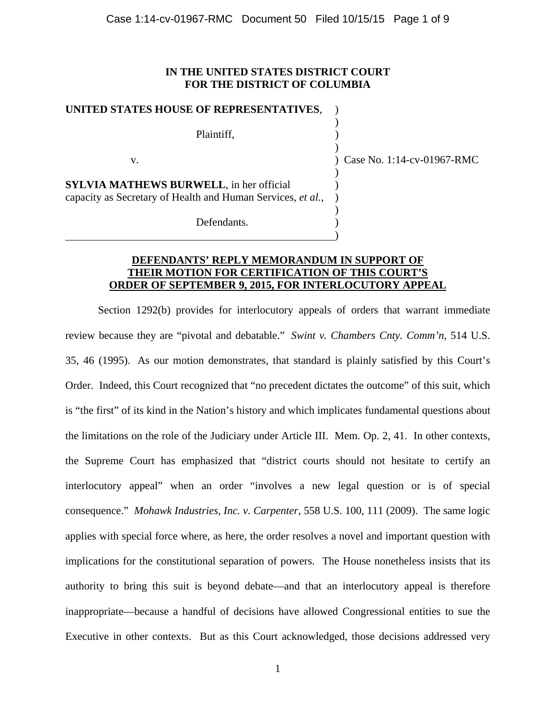## **IN THE UNITED STATES DISTRICT COURT FOR THE DISTRICT OF COLUMBIA**

)

)

)

)

## **UNITED STATES HOUSE OF REPRESENTATIVES**, )

Plaintiff, )

v. ) Case No. 1:14-cv-01967-RMC

**SYLVIA MATHEWS BURWELL**, in her official ) capacity as Secretary of Health and Human Services, *et al.*, )

 $\hspace{1.5cm}$  ) and the contract of the contract of the contract of the contract of the contract of the contract of the contract of the contract of the contract of the contract of the contract of the contract of the contrac

Defendants.

# **DEFENDANTS' REPLY MEMORANDUM IN SUPPORT OF THEIR MOTION FOR CERTIFICATION OF THIS COURT'S ORDER OF SEPTEMBER 9, 2015, FOR INTERLOCUTORY APPEAL**

 Section 1292(b) provides for interlocutory appeals of orders that warrant immediate review because they are "pivotal and debatable." *Swint v. Chambers Cnty. Comm'n*, 514 U.S. 35, 46 (1995). As our motion demonstrates, that standard is plainly satisfied by this Court's Order. Indeed, this Court recognized that "no precedent dictates the outcome" of this suit, which is "the first" of its kind in the Nation's history and which implicates fundamental questions about the limitations on the role of the Judiciary under Article III. Mem. Op. 2, 41. In other contexts, the Supreme Court has emphasized that "district courts should not hesitate to certify an interlocutory appeal" when an order "involves a new legal question or is of special consequence." *Mohawk Industries, Inc. v. Carpenter*, 558 U.S. 100, 111 (2009). The same logic applies with special force where, as here, the order resolves a novel and important question with implications for the constitutional separation of powers. The House nonetheless insists that its authority to bring this suit is beyond debate—and that an interlocutory appeal is therefore inappropriate—because a handful of decisions have allowed Congressional entities to sue the Executive in other contexts. But as this Court acknowledged, those decisions addressed very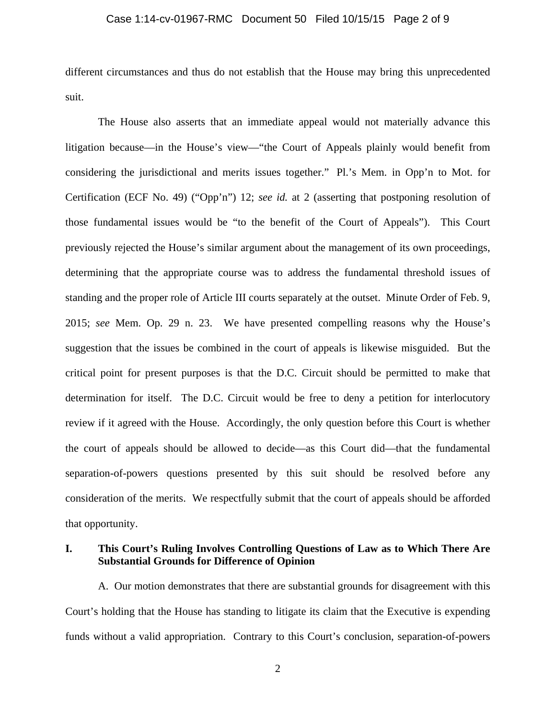## Case 1:14-cv-01967-RMC Document 50 Filed 10/15/15 Page 2 of 9

different circumstances and thus do not establish that the House may bring this unprecedented suit.

 The House also asserts that an immediate appeal would not materially advance this litigation because—in the House's view—"the Court of Appeals plainly would benefit from considering the jurisdictional and merits issues together." Pl.'s Mem. in Opp'n to Mot. for Certification (ECF No. 49) ("Opp'n") 12; *see id.* at 2 (asserting that postponing resolution of those fundamental issues would be "to the benefit of the Court of Appeals"). This Court previously rejected the House's similar argument about the management of its own proceedings, determining that the appropriate course was to address the fundamental threshold issues of standing and the proper role of Article III courts separately at the outset. Minute Order of Feb. 9, 2015; *see* Mem. Op. 29 n. 23. We have presented compelling reasons why the House's suggestion that the issues be combined in the court of appeals is likewise misguided. But the critical point for present purposes is that the D.C. Circuit should be permitted to make that determination for itself. The D.C. Circuit would be free to deny a petition for interlocutory review if it agreed with the House. Accordingly, the only question before this Court is whether the court of appeals should be allowed to decide—as this Court did—that the fundamental separation-of-powers questions presented by this suit should be resolved before any consideration of the merits. We respectfully submit that the court of appeals should be afforded that opportunity.

# **I. This Court's Ruling Involves Controlling Questions of Law as to Which There Are Substantial Grounds for Difference of Opinion**

A. Our motion demonstrates that there are substantial grounds for disagreement with this Court's holding that the House has standing to litigate its claim that the Executive is expending funds without a valid appropriation. Contrary to this Court's conclusion, separation-of-powers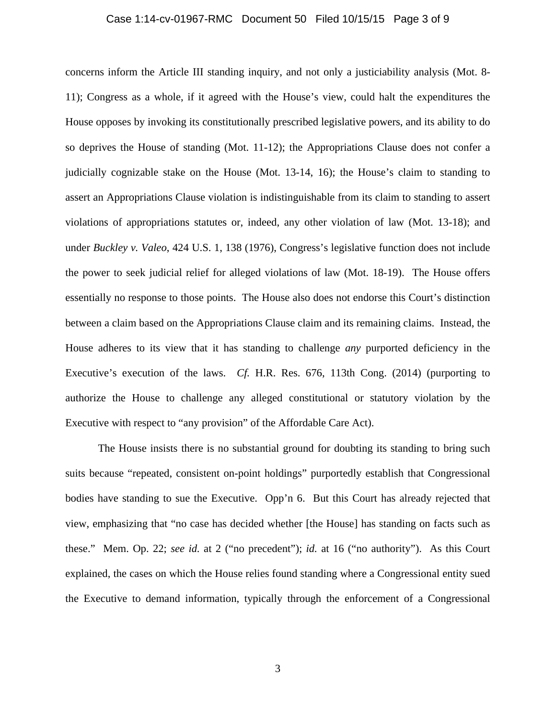## Case 1:14-cv-01967-RMC Document 50 Filed 10/15/15 Page 3 of 9

concerns inform the Article III standing inquiry, and not only a justiciability analysis (Mot. 8- 11); Congress as a whole, if it agreed with the House's view, could halt the expenditures the House opposes by invoking its constitutionally prescribed legislative powers, and its ability to do so deprives the House of standing (Mot. 11-12); the Appropriations Clause does not confer a judicially cognizable stake on the House (Mot. 13-14, 16); the House's claim to standing to assert an Appropriations Clause violation is indistinguishable from its claim to standing to assert violations of appropriations statutes or, indeed, any other violation of law (Mot. 13-18); and under *Buckley v. Valeo*, 424 U.S. 1, 138 (1976), Congress's legislative function does not include the power to seek judicial relief for alleged violations of law (Mot. 18-19). The House offers essentially no response to those points. The House also does not endorse this Court's distinction between a claim based on the Appropriations Clause claim and its remaining claims. Instead, the House adheres to its view that it has standing to challenge *any* purported deficiency in the Executive's execution of the laws. *Cf.* H.R. Res. 676, 113th Cong. (2014) (purporting to authorize the House to challenge any alleged constitutional or statutory violation by the Executive with respect to "any provision" of the Affordable Care Act).

The House insists there is no substantial ground for doubting its standing to bring such suits because "repeated, consistent on-point holdings" purportedly establish that Congressional bodies have standing to sue the Executive. Opp'n 6. But this Court has already rejected that view, emphasizing that "no case has decided whether [the House] has standing on facts such as these." Mem. Op. 22; *see id.* at 2 ("no precedent"); *id.* at 16 ("no authority"). As this Court explained, the cases on which the House relies found standing where a Congressional entity sued the Executive to demand information, typically through the enforcement of a Congressional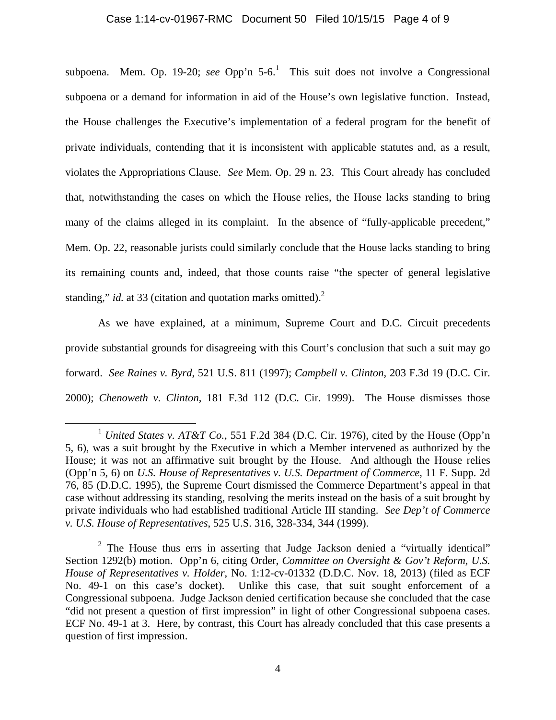## Case 1:14-cv-01967-RMC Document 50 Filed 10/15/15 Page 4 of 9

subpoena. Mem. Op. 19-20; *see* Opp'n  $5{\text -}6$ .<sup>1</sup> This suit does not involve a Congressional subpoena or a demand for information in aid of the House's own legislative function. Instead, the House challenges the Executive's implementation of a federal program for the benefit of private individuals, contending that it is inconsistent with applicable statutes and, as a result, violates the Appropriations Clause. *See* Mem. Op. 29 n. 23. This Court already has concluded that, notwithstanding the cases on which the House relies, the House lacks standing to bring many of the claims alleged in its complaint. In the absence of "fully-applicable precedent," Mem. Op. 22, reasonable jurists could similarly conclude that the House lacks standing to bring its remaining counts and, indeed, that those counts raise "the specter of general legislative standing," *id.* at 33 (citation and quotation marks omitted).<sup>2</sup>

 As we have explained, at a minimum, Supreme Court and D.C. Circuit precedents provide substantial grounds for disagreeing with this Court's conclusion that such a suit may go forward. *See Raines v. Byrd*, 521 U.S. 811 (1997); *Campbell v. Clinton*, 203 F.3d 19 (D.C. Cir. 2000); *Chenoweth v. Clinton*, 181 F.3d 112 (D.C. Cir. 1999). The House dismisses those

<sup>&</sup>lt;sup>1</sup> *United States v. AT&T Co.*, 551 F.2d 384 (D.C. Cir. 1976), cited by the House (Opp'n 5, 6), was a suit brought by the Executive in which a Member intervened as authorized by the House; it was not an affirmative suit brought by the House. And although the House relies (Opp'n 5, 6) on *U.S. House of Representatives v. U.S. Department of Commerce*, 11 F. Supp. 2d 76, 85 (D.D.C. 1995), the Supreme Court dismissed the Commerce Department's appeal in that case without addressing its standing, resolving the merits instead on the basis of a suit brought by private individuals who had established traditional Article III standing. *See Dep't of Commerce v. U.S. House of Representatives*, 525 U.S. 316, 328-334, 344 (1999).

<sup>&</sup>lt;sup>2</sup> The House thus errs in asserting that Judge Jackson denied a "virtually identical" Section 1292(b) motion. Opp'n 6, citing Order, *Committee on Oversight & Gov't Reform, U.S. House of Representatives v. Holder*, No. 1:12-cv-01332 (D.D.C. Nov. 18, 2013) (filed as ECF No. 49-1 on this case's docket). Unlike this case, that suit sought enforcement of a Congressional subpoena. Judge Jackson denied certification because she concluded that the case "did not present a question of first impression" in light of other Congressional subpoena cases. ECF No. 49-1 at 3. Here, by contrast, this Court has already concluded that this case presents a question of first impression.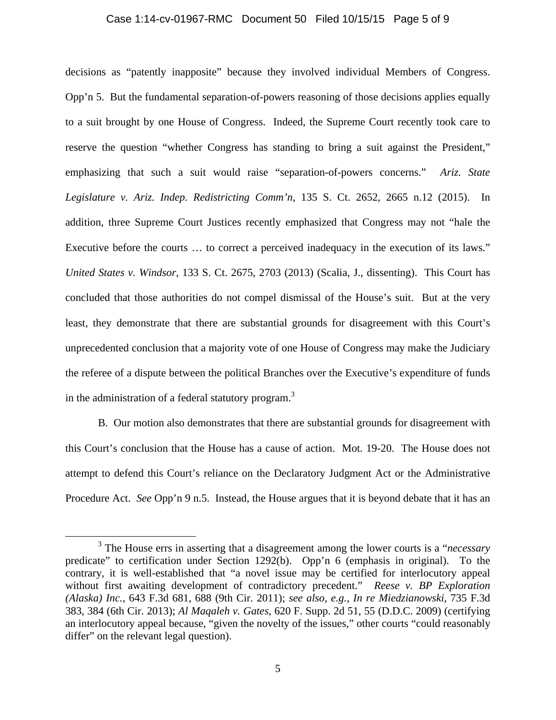#### Case 1:14-cv-01967-RMC Document 50 Filed 10/15/15 Page 5 of 9

decisions as "patently inapposite" because they involved individual Members of Congress. Opp'n 5. But the fundamental separation-of-powers reasoning of those decisions applies equally to a suit brought by one House of Congress. Indeed, the Supreme Court recently took care to reserve the question "whether Congress has standing to bring a suit against the President," emphasizing that such a suit would raise "separation-of-powers concerns." *Ariz. State Legislature v. Ariz. Indep. Redistricting Comm'n*, 135 S. Ct. 2652, 2665 n.12 (2015). In addition, three Supreme Court Justices recently emphasized that Congress may not "hale the Executive before the courts … to correct a perceived inadequacy in the execution of its laws." *United States v. Windsor*, 133 S. Ct. 2675, 2703 (2013) (Scalia, J., dissenting). This Court has concluded that those authorities do not compel dismissal of the House's suit. But at the very least, they demonstrate that there are substantial grounds for disagreement with this Court's unprecedented conclusion that a majority vote of one House of Congress may make the Judiciary the referee of a dispute between the political Branches over the Executive's expenditure of funds in the administration of a federal statutory program.<sup>3</sup>

 B. Our motion also demonstrates that there are substantial grounds for disagreement with this Court's conclusion that the House has a cause of action. Mot. 19-20. The House does not attempt to defend this Court's reliance on the Declaratory Judgment Act or the Administrative Procedure Act. *See* Opp'n 9 n.5. Instead, the House argues that it is beyond debate that it has an

 $\frac{1}{3}$  The House errs in asserting that a disagreement among the lower courts is a "*necessary* predicate" to certification under Section 1292(b). Opp'n 6 (emphasis in original). To the contrary, it is well-established that "a novel issue may be certified for interlocutory appeal without first awaiting development of contradictory precedent." *Reese v. BP Exploration (Alaska) Inc.*, 643 F.3d 681, 688 (9th Cir. 2011); *see also, e.g.*, *In re Miedzianowski*, 735 F.3d 383, 384 (6th Cir. 2013); *Al Maqaleh v. Gates*, 620 F. Supp. 2d 51, 55 (D.D.C. 2009) (certifying an interlocutory appeal because, "given the novelty of the issues," other courts "could reasonably differ" on the relevant legal question).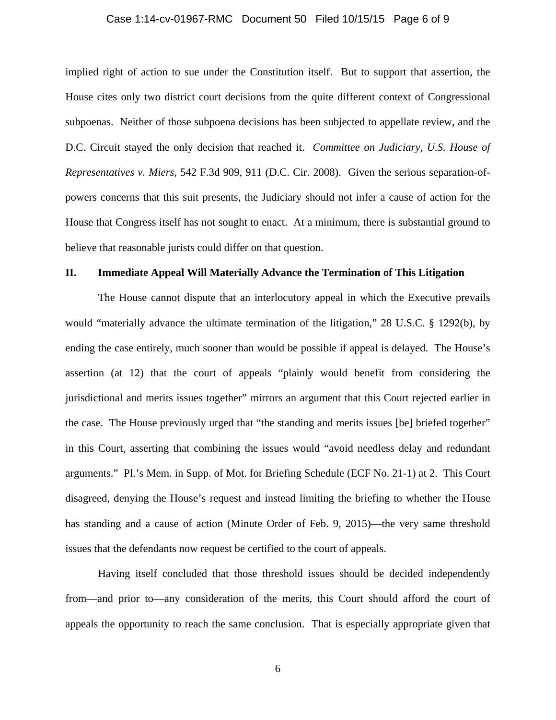## Case 1:14-cv-01967-RMC Document 50 Filed 10/15/15 Page 6 of 9

implied right of action to sue under the Constitution itself. But to support that assertion, the House cites only two district court decisions from the quite different context of Congressional subpoenas. Neither of those subpoena decisions has been subjected to appellate review, and the D.C. Circuit stayed the only decision that reached it. *Committee on Judiciary, U.S. House of Representatives v. Miers*, 542 F.3d 909, 911 (D.C. Cir. 2008). Given the serious separation-ofpowers concerns that this suit presents, the Judiciary should not infer a cause of action for the House that Congress itself has not sought to enact. At a minimum, there is substantial ground to believe that reasonable jurists could differ on that question.

## **II. Immediate Appeal Will Materially Advance the Termination of This Litigation**

 The House cannot dispute that an interlocutory appeal in which the Executive prevails would "materially advance the ultimate termination of the litigation," 28 U.S.C. § 1292(b), by ending the case entirely, much sooner than would be possible if appeal is delayed. The House's assertion (at 12) that the court of appeals "plainly would benefit from considering the jurisdictional and merits issues together" mirrors an argument that this Court rejected earlier in the case. The House previously urged that "the standing and merits issues [be] briefed together" in this Court, asserting that combining the issues would "avoid needless delay and redundant arguments." Pl.'s Mem. in Supp. of Mot. for Briefing Schedule (ECF No. 21-1) at 2. This Court disagreed, denying the House's request and instead limiting the briefing to whether the House has standing and a cause of action (Minute Order of Feb. 9, 2015)—the very same threshold issues that the defendants now request be certified to the court of appeals.

 Having itself concluded that those threshold issues should be decided independently from—and prior to—any consideration of the merits, this Court should afford the court of appeals the opportunity to reach the same conclusion. That is especially appropriate given that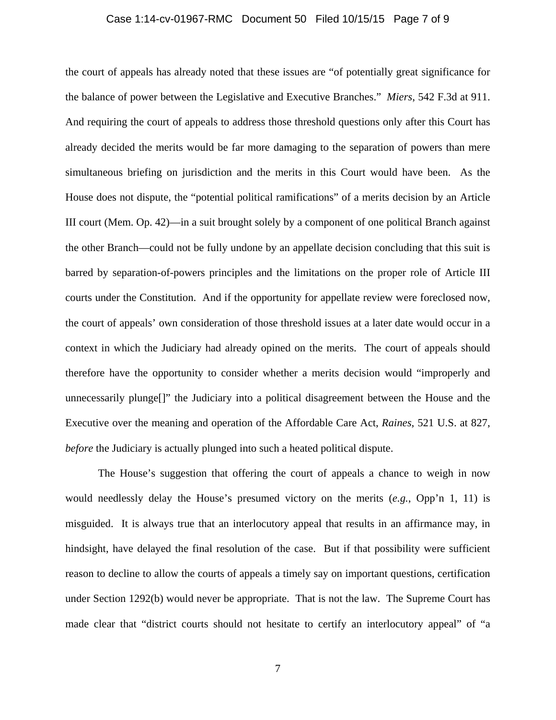## Case 1:14-cv-01967-RMC Document 50 Filed 10/15/15 Page 7 of 9

the court of appeals has already noted that these issues are "of potentially great significance for the balance of power between the Legislative and Executive Branches." *Miers*, 542 F.3d at 911. And requiring the court of appeals to address those threshold questions only after this Court has already decided the merits would be far more damaging to the separation of powers than mere simultaneous briefing on jurisdiction and the merits in this Court would have been. As the House does not dispute, the "potential political ramifications" of a merits decision by an Article III court (Mem. Op. 42)—in a suit brought solely by a component of one political Branch against the other Branch—could not be fully undone by an appellate decision concluding that this suit is barred by separation-of-powers principles and the limitations on the proper role of Article III courts under the Constitution. And if the opportunity for appellate review were foreclosed now, the court of appeals' own consideration of those threshold issues at a later date would occur in a context in which the Judiciary had already opined on the merits. The court of appeals should therefore have the opportunity to consider whether a merits decision would "improperly and unnecessarily plunge[]" the Judiciary into a political disagreement between the House and the Executive over the meaning and operation of the Affordable Care Act, *Raines*, 521 U.S. at 827, *before* the Judiciary is actually plunged into such a heated political dispute.

 The House's suggestion that offering the court of appeals a chance to weigh in now would needlessly delay the House's presumed victory on the merits (*e.g.*, Opp'n 1, 11) is misguided. It is always true that an interlocutory appeal that results in an affirmance may, in hindsight, have delayed the final resolution of the case. But if that possibility were sufficient reason to decline to allow the courts of appeals a timely say on important questions, certification under Section 1292(b) would never be appropriate. That is not the law. The Supreme Court has made clear that "district courts should not hesitate to certify an interlocutory appeal" of "a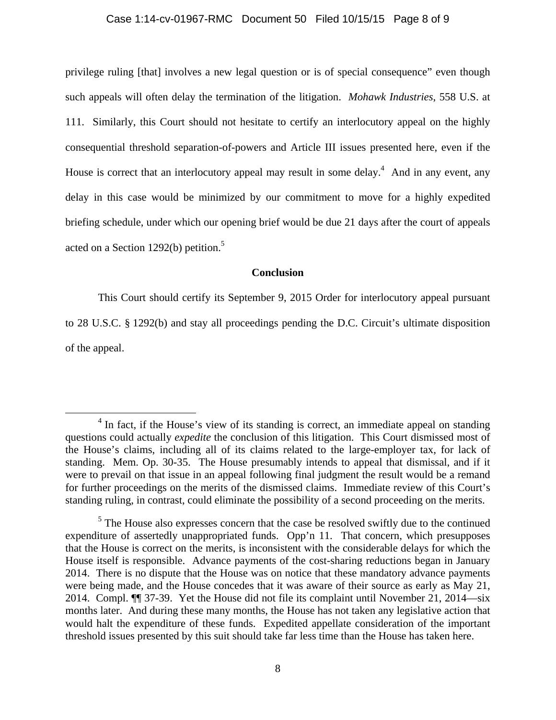## Case 1:14-cv-01967-RMC Document 50 Filed 10/15/15 Page 8 of 9

privilege ruling [that] involves a new legal question or is of special consequence" even though such appeals will often delay the termination of the litigation. *Mohawk Industries*, 558 U.S. at 111. Similarly, this Court should not hesitate to certify an interlocutory appeal on the highly consequential threshold separation-of-powers and Article III issues presented here, even if the House is correct that an interlocutory appeal may result in some delay.<sup>4</sup> And in any event, any delay in this case would be minimized by our commitment to move for a highly expedited briefing schedule, under which our opening brief would be due 21 days after the court of appeals acted on a Section 1292(b) petition.<sup>5</sup>

## **Conclusion**

 This Court should certify its September 9, 2015 Order for interlocutory appeal pursuant to 28 U.S.C. § 1292(b) and stay all proceedings pending the D.C. Circuit's ultimate disposition of the appeal.

<sup>&</sup>lt;sup>4</sup> In fact, if the House's view of its standing is correct, an immediate appeal on standing questions could actually *expedite* the conclusion of this litigation. This Court dismissed most of the House's claims, including all of its claims related to the large-employer tax, for lack of standing. Mem. Op. 30-35. The House presumably intends to appeal that dismissal, and if it were to prevail on that issue in an appeal following final judgment the result would be a remand for further proceedings on the merits of the dismissed claims. Immediate review of this Court's standing ruling, in contrast, could eliminate the possibility of a second proceeding on the merits.

 $<sup>5</sup>$  The House also expresses concern that the case be resolved swiftly due to the continued</sup> expenditure of assertedly unappropriated funds. Opp'n 11. That concern, which presupposes that the House is correct on the merits, is inconsistent with the considerable delays for which the House itself is responsible. Advance payments of the cost-sharing reductions began in January 2014. There is no dispute that the House was on notice that these mandatory advance payments were being made, and the House concedes that it was aware of their source as early as May 21, 2014. Compl. ¶¶ 37-39. Yet the House did not file its complaint until November 21, 2014—six months later. And during these many months, the House has not taken any legislative action that would halt the expenditure of these funds. Expedited appellate consideration of the important threshold issues presented by this suit should take far less time than the House has taken here.